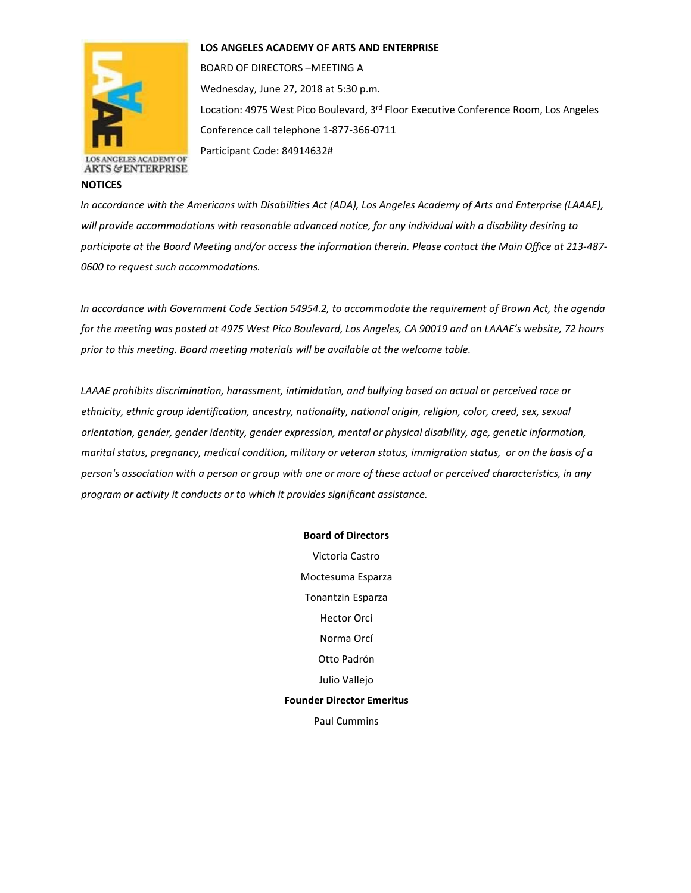



**ARTS & ENTERPRISE** 

**NOTICES**

BOARD OF DIRECTORS –MEETING A Wednesday, June 27, 2018 at 5:30 p.m. Location: 4975 West Pico Boulevard, 3<sup>rd</sup> Floor Executive Conference Room, Los Angeles Conference call telephone 1-877-366-0711

Participant Code: 84914632#

*In accordance with the Americans with Disabilities Act (ADA), Los Angeles Academy of Arts and Enterprise (LAAAE), will provide accommodations with reasonable advanced notice, for any individual with a disability desiring to participate at the Board Meeting and/or access the information therein. Please contact the Main Office at 213-487- 0600 to request such accommodations.* 

*In accordance with Government Code Section 54954.2, to accommodate the requirement of Brown Act, the agenda for the meeting was posted at 4975 West Pico Boulevard, Los Angeles, CA 90019 and on LAAAE's website, 72 hours prior to this meeting. Board meeting materials will be available at the welcome table.* 

*LAAAE prohibits discrimination, harassment, intimidation, and bullying based on actual or perceived race or ethnicity, ethnic group identification, ancestry, nationality, national origin, religion, color, creed, sex, sexual orientation, gender, gender identity, gender expression, mental or physical disability, age, genetic information, marital status, pregnancy, medical condition, military or veteran status, immigration status, or on the basis of a person's association with a person or group with one or more of these actual or perceived characteristics, in any program or activity it conducts or to which it provides significant assistance.* 

## **Board of Directors**

Victoria Castro Moctesuma Esparza Tonantzin Esparza Hector Orcí Norma Orcí Otto Padrón Julio Vallejo **Founder Director Emeritus** Paul Cummins